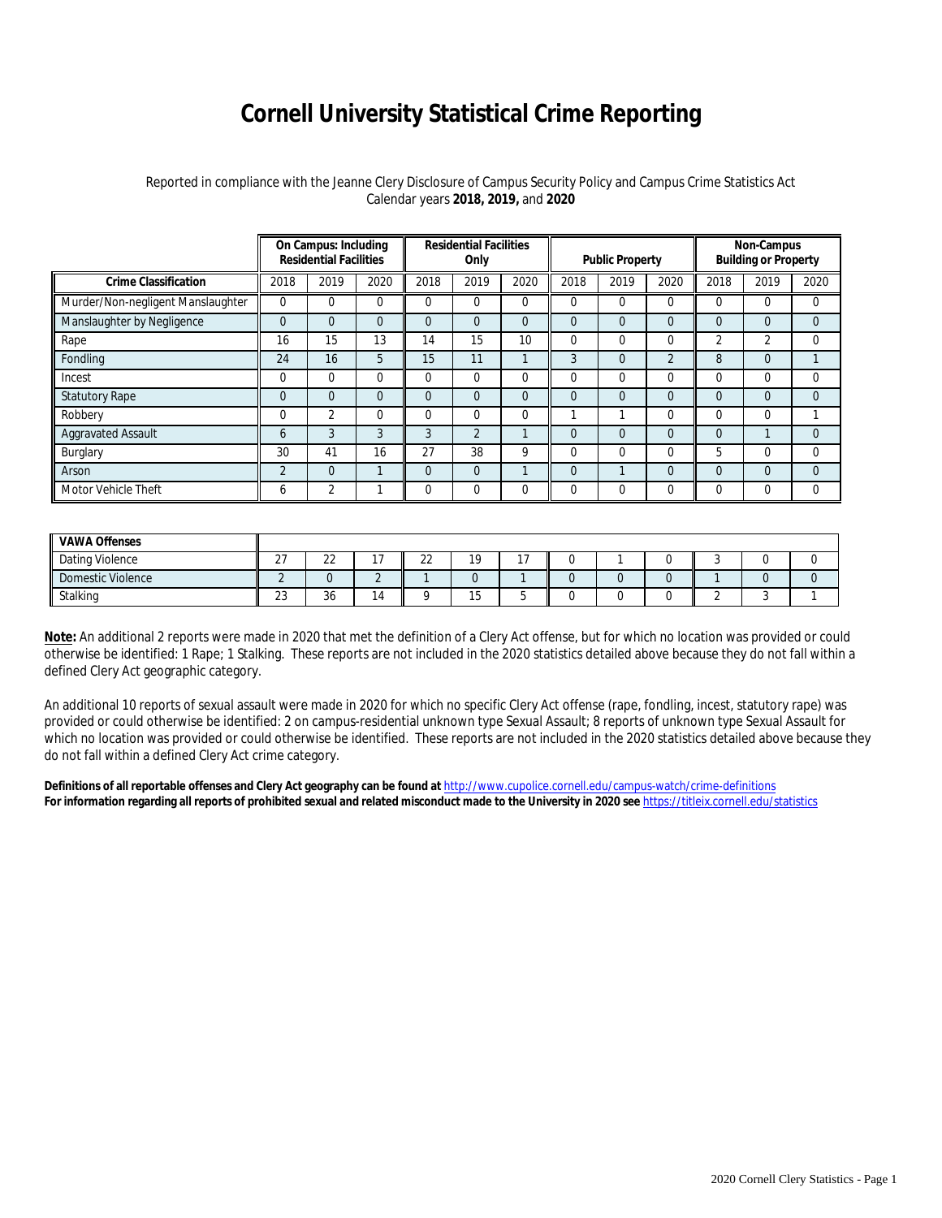## **Cornell University Statistical Crime Reporting**

## Reported in compliance with the Jeanne Clery Disclosure of Campus Security Policy and Campus Crime Statistics Act Calendar years **2018, 2019,** and **2020**

|                                   | On Campus: Including<br><b>Residential Facilities</b> |                |          | <b>Residential Facilities</b><br>Only |                |          | <b>Public Property</b> |                |                | Non-Campus<br><b>Building or Property</b> |                |                |
|-----------------------------------|-------------------------------------------------------|----------------|----------|---------------------------------------|----------------|----------|------------------------|----------------|----------------|-------------------------------------------|----------------|----------------|
| <b>Crime Classification</b>       | 2018                                                  | 2019           | 2020     | 2018                                  | 2019           | 2020     | 2018                   | 2019           | 2020           | 2018                                      | 2019           | 2020           |
| Murder/Non-negligent Manslaughter | $\Omega$                                              | 0              | 0        | $\Omega$                              | 0              | $\Omega$ |                        | 0              | $\Omega$       | $\Omega$                                  | $\Omega$       | 0              |
| Manslaughter by Negligence        | $\Omega$                                              | $\overline{0}$ | $\Omega$ | $\Omega$                              | 0              | $\Omega$ | $\Omega$               | $\Omega$       | $\Omega$       | $\overline{0}$                            | $\overline{0}$ | $\Omega$       |
| Rape                              | 16                                                    | 15             | 13       | 14                                    | 15             | 10       | 0                      | 0              | $\Omega$       | $\overline{2}$                            | 2              | 0              |
| Fondling                          | 24                                                    | 16             | 5        | 15                                    | 11             |          | 3                      | 0              | $\overline{2}$ | 8                                         | $\overline{0}$ |                |
| Incest                            | $\Omega$                                              | $\Omega$       | 0        | $\Omega$                              | $\Omega$       | $\Omega$ | $\Omega$               | 0              | $\Omega$       | $\Omega$                                  | $\Omega$       | $\Omega$       |
| <b>Statutory Rape</b>             | $\Omega$                                              | $\overline{0}$ | 0        | $\Omega$                              | $\overline{0}$ | $\Omega$ | $\Omega$               | 0              | $\Omega$       | $\Omega$                                  | $\Omega$       | $\Omega$       |
| Robbery                           | $\Omega$                                              | $\overline{2}$ | 0        | $\Omega$                              | 0              | $\Omega$ |                        |                | 0              | $\mathbf 0$                               | $\Omega$       |                |
| <b>Aggravated Assault</b>         | 6                                                     | 3              | 3        | 3                                     | $\overline{2}$ |          | $\overline{0}$         | $\overline{0}$ | $\Omega$       | $\overline{0}$                            |                | $\overline{0}$ |
| Burglary                          | 30                                                    | 41             | 16       | 27                                    | 38             | 9        | 0                      | 0              | 0              | 5                                         | $\Omega$       | $\Omega$       |
| Arson                             | $\overline{2}$                                        | $\overline{0}$ |          | $\Omega$                              | $\Omega$       |          | $\Omega$               |                | $\Omega$       | $\Omega$                                  | $\Omega$       | $\Omega$       |
| Motor Vehicle Theft               | <sub>6</sub>                                          | 2              |          | 0                                     | 0              | $\Omega$ |                        | 0              | 0              | $\Omega$                                  | $\Omega$       | 0              |

| <b>VAWA Offenses</b> |                    |              |              |           |            |  |  |  |
|----------------------|--------------------|--------------|--------------|-----------|------------|--|--|--|
| Dating Violence      | $\sim$<br><u>.</u> | $\sim$<br>∠∠ | $\sim$<br>∠∠ | 10<br>. . | $\sim$ $-$ |  |  |  |
| Domestic Violence    |                    |              |              |           |            |  |  |  |
| Stalking             | $\sim$<br>ں ے      | 36           |              | ں ו       |            |  |  |  |

**Note:** An additional 2 reports were made in 2020 that met the definition of a Clery Act offense, but for which no location was provided or could otherwise be identified: 1 Rape; 1 Stalking. These reports are not included in the 2020 statistics detailed above because they do not fall within a defined Clery Act geographic category.

An additional 10 reports of sexual assault were made in 2020 for which no specific Clery Act offense (rape, fondling, incest, statutory rape) was provided or could otherwise be identified: 2 on campus-residential unknown type Sexual Assault; 8 reports of unknown type Sexual Assault for which no location was provided or could otherwise be identified. These reports are not included in the 2020 statistics detailed above because they do not fall within a defined Clery Act crime category.

**Definitions of all reportable offenses and Clery Act geography can be found at** <http://www.cupolice.cornell.edu/campus-watch/crime-definitions> **For information regarding all reports of prohibited sexual and related misconduct made to the University in 2020 see** <https://titleix.cornell.edu/statistics>